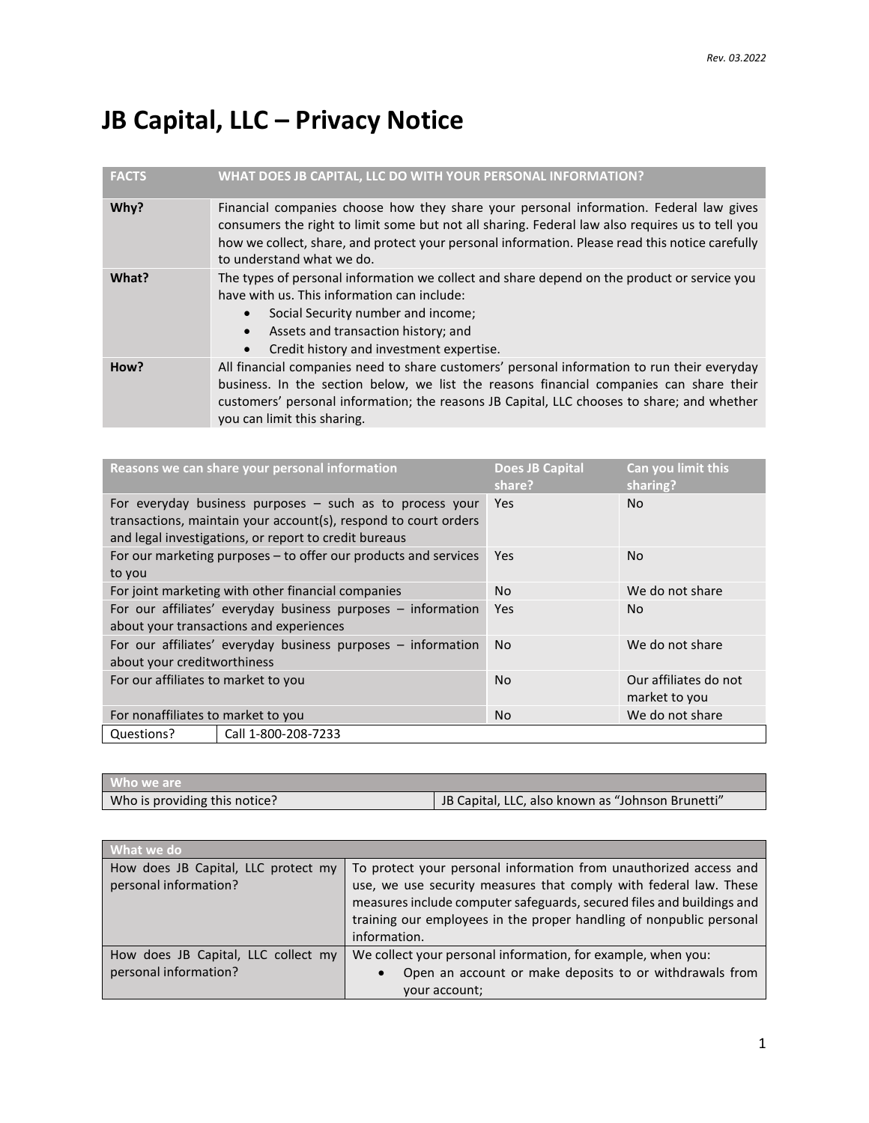## **JB Capital, LLC – Privacy Notice**

| <b>FACTS</b> | WHAT DOES JB CAPITAL, LLC DO WITH YOUR PERSONAL INFORMATION?                                                                                                                                                                                                                                                              |
|--------------|---------------------------------------------------------------------------------------------------------------------------------------------------------------------------------------------------------------------------------------------------------------------------------------------------------------------------|
| Why?         | Financial companies choose how they share your personal information. Federal law gives<br>consumers the right to limit some but not all sharing. Federal law also requires us to tell you<br>how we collect, share, and protect your personal information. Please read this notice carefully<br>to understand what we do. |
| What?        | The types of personal information we collect and share depend on the product or service you<br>have with us. This information can include:<br>Social Security number and income;<br>Assets and transaction history; and<br>Credit history and investment expertise.                                                       |
| How?         | All financial companies need to share customers' personal information to run their everyday<br>business. In the section below, we list the reasons financial companies can share their<br>customers' personal information; the reasons JB Capital, LLC chooses to share; and whether<br>you can limit this sharing.       |

| Reasons we can share your personal information                                                                                                                                         |  | <b>Does JB Capital</b><br>share? | Can you limit this<br>sharing?         |
|----------------------------------------------------------------------------------------------------------------------------------------------------------------------------------------|--|----------------------------------|----------------------------------------|
| For everyday business purposes $-$ such as to process your<br>transactions, maintain your account(s), respond to court orders<br>and legal investigations, or report to credit bureaus |  | Yes                              | No.                                    |
| For our marketing purposes - to offer our products and services<br>to you                                                                                                              |  | <b>Yes</b>                       | N <sub>o</sub>                         |
| For joint marketing with other financial companies                                                                                                                                     |  | <b>No</b>                        | We do not share                        |
| For our affiliates' everyday business purposes - information<br>about your transactions and experiences                                                                                |  | Yes                              | N <sub>o</sub>                         |
| For our affiliates' everyday business purposes - information<br>about your creditworthiness                                                                                            |  | <b>No</b>                        | We do not share                        |
| For our affiliates to market to you                                                                                                                                                    |  | <b>No</b>                        | Our affiliates do not<br>market to you |
| For nonaffiliates to market to you                                                                                                                                                     |  | <b>No</b>                        | We do not share                        |
| Call 1-800-208-7233<br>Questions?                                                                                                                                                      |  |                                  |                                        |

| Who we are                    |                                                   |
|-------------------------------|---------------------------------------------------|
| Who is providing this notice? | JB Capital, LLC, also known as "Johnson Brunetti" |

| What we do                                                   |                                                                                                                                                                                                                                                                                                        |  |  |
|--------------------------------------------------------------|--------------------------------------------------------------------------------------------------------------------------------------------------------------------------------------------------------------------------------------------------------------------------------------------------------|--|--|
| How does JB Capital, LLC protect my<br>personal information? | To protect your personal information from unauthorized access and<br>use, we use security measures that comply with federal law. These<br>measures include computer safeguards, secured files and buildings and<br>training our employees in the proper handling of nonpublic personal<br>information. |  |  |
| How does JB Capital, LLC collect my<br>personal information? | We collect your personal information, for example, when you:<br>Open an account or make deposits to or withdrawals from<br>$\bullet$<br>your account;                                                                                                                                                  |  |  |